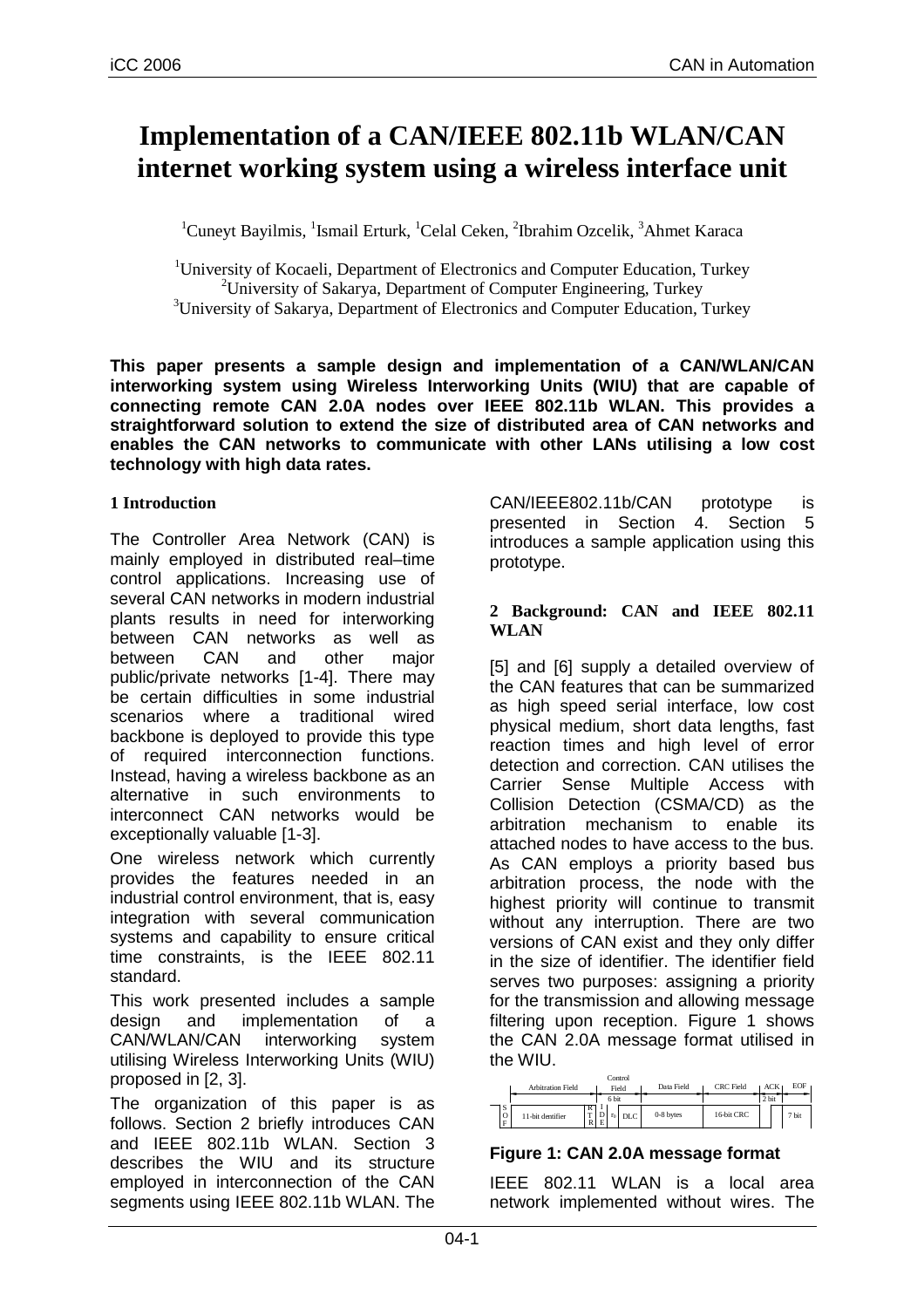# **Implementation of a CAN/IEEE 802.11b WLAN/CAN internet working system using a wireless interface unit**

<sup>1</sup>Cuneyt Bayilmis, <sup>1</sup>Ismail Erturk, <sup>1</sup>Celal Ceken, <sup>2</sup>Ibrahim Ozcelik, <sup>3</sup>Ahmet Karaca

<sup>1</sup>University of Kocaeli, Department of Electronics and Computer Education, Turkey <sup>2</sup>University of Sakarya, Department of Computer Engineering, Turkey <sup>3</sup>University of Sakarya, Department of Electronics and Computer Education, Turkey

**This paper presents a sample design and implementation of a CAN/WLAN/CAN interworking system using Wireless Interworking Units (WIU) that are capable of connecting remote CAN 2.0A nodes over IEEE 802.11b WLAN. This provides a straightforward solution to extend the size of distributed area of CAN networks and enables the CAN networks to communicate with other LANs utilising a low cost technology with high data rates.** 

# **1 Introduction**

The Controller Area Network (CAN) is mainly employed in distributed real–time control applications. Increasing use of several CAN networks in modern industrial plants results in need for interworking between CAN networks as well as between CAN and other major public/private networks [1-4]. There may be certain difficulties in some industrial scenarios where a traditional wired backbone is deployed to provide this type of required interconnection functions. Instead, having a wireless backbone as an alternative in such environments to interconnect CAN networks would be exceptionally valuable [1-3].

One wireless network which currently provides the features needed in an industrial control environment, that is, easy integration with several communication systems and capability to ensure critical time constraints, is the IEEE 802.11 standard.

This work presented includes a sample design and implementation of a CAN/WLAN/CAN interworking system utilising Wireless Interworking Units (WIU) proposed in [2, 3].

The organization of this paper is as follows. Section 2 briefly introduces CAN and IEEE 802.11b WLAN. Section 3 describes the WIU and its structure employed in interconnection of the CAN segments using IEEE 802.11b WLAN. The CAN/IEEE802.11b/CAN prototype is presented in Section 4. Section 5 introduces a sample application using this prototype.

## **2 Background: CAN and IEEE 802.11 WLAN**

[5] and [6] supply a detailed overview of the CAN features that can be summarized as high speed serial interface, low cost physical medium, short data lengths, fast reaction times and high level of error detection and correction. CAN utilises the Carrier Sense Multiple Access with Collision Detection (CSMA/CD) as the arbitration mechanism to enable its attached nodes to have access to the bus. As CAN employs a priority based bus arbitration process, the node with the highest priority will continue to transmit without any interruption. There are two versions of CAN exist and they only differ in the size of identifier. The identifier field serves two purposes: assigning a priority for the transmission and allowing message filtering upon reception. Figure 1 shows the CAN 2.0A message format utilised in the WIU.



## **Figure 1: CAN 2.0A message format**

IEEE 802.11 WLAN is a local area network implemented without wires. The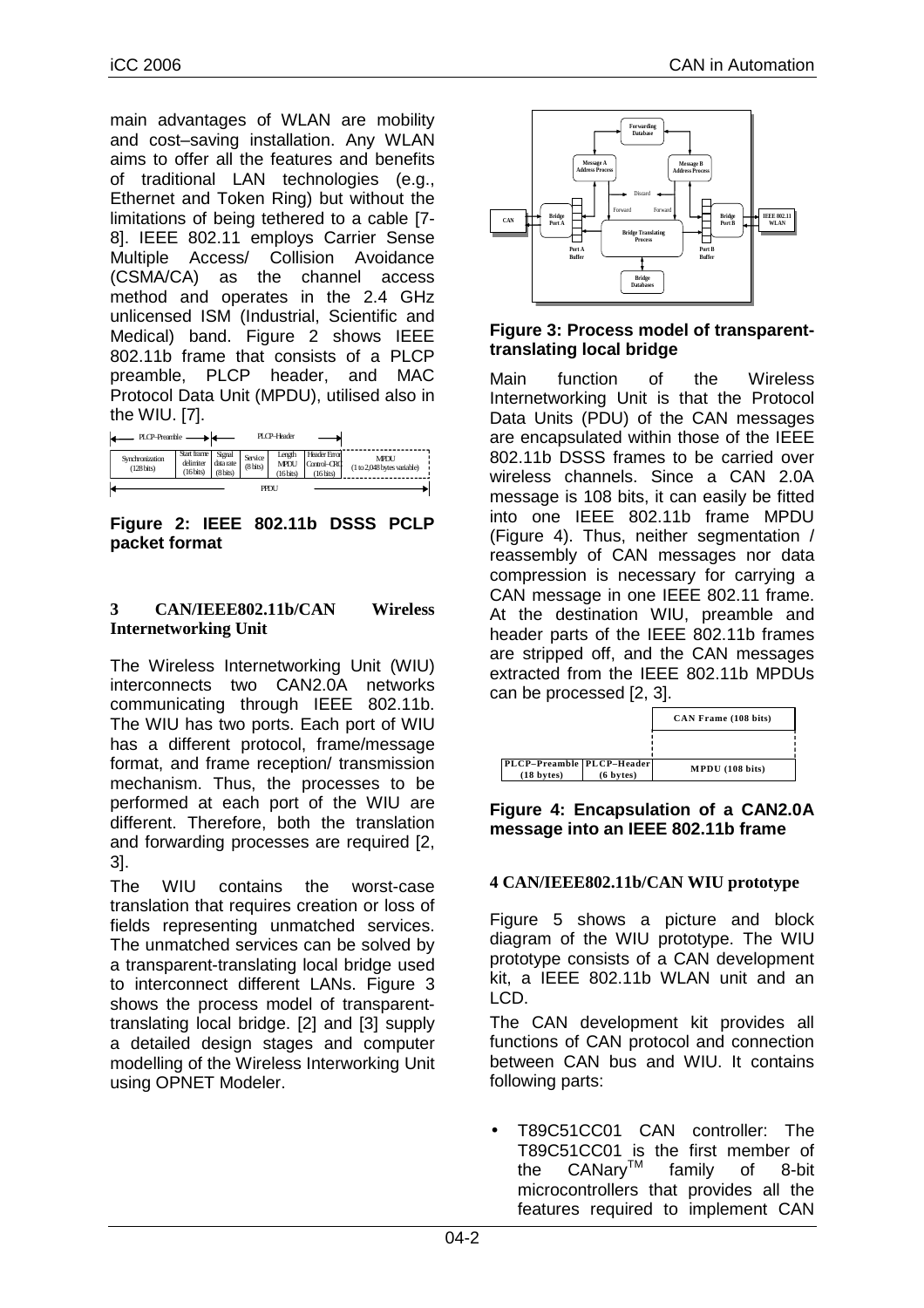main advantages of WLAN are mobility and cost–saving installation. Any WLAN aims to offer all the features and benefits of traditional LAN technologies (e.g., Ethernet and Token Ring) but without the limitations of being tethered to a cable [7- 8]. IEEE 802.11 employs Carrier Sense Multiple Access/ Collision Avoidance (CSMA/CA) as the channel access method and operates in the 2.4 GHz unlicensed ISM (Industrial, Scientific and Medical) band. Figure 2 shows IEEE 802.11b frame that consists of a PLCP preamble, PLCP header, and MAC Protocol Data Unit (MPDU), utilised also in the WIU. [7].

| PLCP-Preamble -                         |                                       | PI CP-Header                    |                       |                                    |                                          |                                            |  |  |
|-----------------------------------------|---------------------------------------|---------------------------------|-----------------------|------------------------------------|------------------------------------------|--------------------------------------------|--|--|
| Synchronization<br>$(128 \text{ bits})$ | Start frame<br>delimiter<br>(16 bits) | Signal<br>data rate<br>(8 bits) | Service<br>$(8$ bits) | Length<br><b>MPDU</b><br>(16 bits) | Header Error<br>Control-CRC<br>(16 bits) | <b>MPDI</b><br>(1 to 2,048 bytes variable) |  |  |
| PPDU                                    |                                       |                                 |                       |                                    |                                          |                                            |  |  |

**Figure 2: IEEE 802.11b DSSS PCLP packet format** 

## **3 CAN/IEEE802.11b/CAN Wireless Internetworking Unit**

The Wireless Internetworking Unit (WIU) interconnects two CAN2.0A networks communicating through IEEE 802.11b. The WIU has two ports. Each port of WIU has a different protocol, frame/message format, and frame reception/ transmission mechanism. Thus, the processes to be performed at each port of the WIU are different. Therefore, both the translation and forwarding processes are required [2, 3].

The WIU contains the worst-case translation that requires creation or loss of fields representing unmatched services. The unmatched services can be solved by a transparent-translating local bridge used to interconnect different LANs. Figure 3 shows the process model of transparenttranslating local bridge. [2] and [3] supply a detailed design stages and computer modelling of the Wireless Interworking Unit using OPNET Modeler.



#### **Figure 3: Process model of transparenttranslating local bridge**

Main function of the Wireless Internetworking Unit is that the Protocol Data Units (PDU) of the CAN messages are encapsulated within those of the IEEE 802.11b DSSS frames to be carried over wireless channels. Since a CAN 2.0A message is 108 bits, it can easily be fitted into one IEEE 802.11b frame MPDU (Figure 4). Thus, neither segmentation / reassembly of CAN messages nor data compression is necessary for carrying a CAN message in one IEEE 802.11 frame. At the destination WIU, preamble and header parts of the IEEE 802.11b frames are stripped off, and the CAN messages extracted from the IEEE 802.11b MPDUs can be processed [2, 3].



**Figure 4: Encapsulation of a CAN2.0A message into an IEEE 802.11b frame** 

## **4 CAN/IEEE802.11b/CAN WIU prototype**

Figure 5 shows a picture and block diagram of the WIU prototype. The WIU prototype consists of a CAN development kit, a IEEE 802.11b WLAN unit and an LCD.

The CAN development kit provides all functions of CAN protocol and connection between CAN bus and WIU. It contains following parts:

• T89C51CC01 CAN controller: The T89C51CC01 is the first member of the CANary<sup>™</sup> family of 8-bit microcontrollers that provides all the features required to implement CAN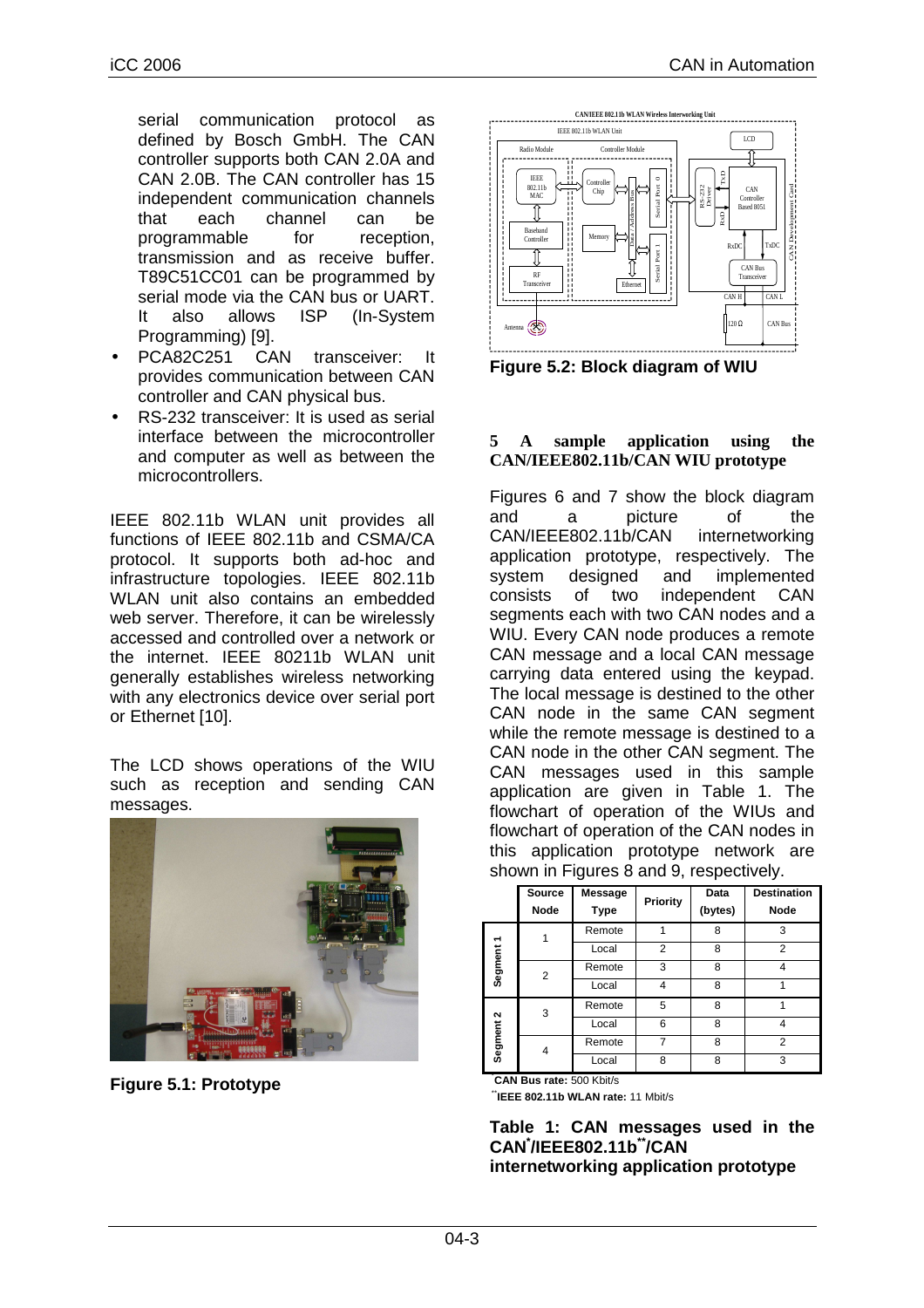serial communication protocol as defined by Bosch GmbH. The CAN controller supports both CAN 2.0A and CAN 2.0B. The CAN controller has 15 independent communication channels that each channel can be programmable for reception. transmission and as receive buffer. T89C51CC01 can be programmed by serial mode via the CAN bus or UART. It also allows ISP (In-System Programming) [9].

- PCA82C251 CAN transceiver: It provides communication between CAN controller and CAN physical bus.
- RS-232 transceiver: It is used as serial interface between the microcontroller and computer as well as between the microcontrollers.

IEEE 802.11b WLAN unit provides all functions of IEEE 802.11b and CSMA/CA protocol. It supports both ad-hoc and infrastructure topologies. IEEE 802.11b WLAN unit also contains an embedded web server. Therefore, it can be wirelessly accessed and controlled over a network or the internet. IEEE 80211b WLAN unit generally establishes wireless networking with any electronics device over serial port or Ethernet [10].

The LCD shows operations of the WIU such as reception and sending CAN messages.



**Figure 5.1: Prototype**



**Figure 5.2: Block diagram of WIU**

#### **5 A sample application using the CAN/IEEE802.11b/CAN WIU prototype**

Figures 6 and 7 show the block diagram and a picture of the CAN/IEEE802.11b/CAN internetworking application prototype, respectively. The system designed and implemented consists of two independent CAN segments each with two CAN nodes and a WIU. Every CAN node produces a remote CAN message and a local CAN message carrying data entered using the keypad. The local message is destined to the other CAN node in the same CAN segment while the remote message is destined to a CAN node in the other CAN segment. The CAN messages used in this sample application are given in Table 1. The flowchart of operation of the WIUs and flowchart of operation of the CAN nodes in this application prototype network are shown in Figures 8 and 9, respectively.

|           | <b>Source</b><br><b>Node</b> | <b>Message</b><br><b>Type</b> | Priority | Data<br>(bytes) | <b>Destination</b><br><b>Node</b> |
|-----------|------------------------------|-------------------------------|----------|-----------------|-----------------------------------|
| Segment1  |                              | Remote                        |          | 8               | 3                                 |
|           |                              | Local                         | 2        | 8               | $\overline{2}$                    |
|           | 2                            | Remote                        | 3        | 8               | 4                                 |
|           |                              | Local                         | 4        | 8               |                                   |
| Segment 2 | 3                            | Remote                        | 5        | 8               |                                   |
|           |                              | Local                         | 6        | 8               | 4                                 |
|           | 4                            | Remote                        |          | 8               | $\overline{2}$                    |
|           |                              | Local                         | 8        | 8               | 3                                 |

\***CAN Bus rate:** 500 Kbit/s

\*\***IEEE 802.11b WLAN rate:** 11 Mbit/s

#### **Table 1: CAN messages used in the CAN\* /IEEE802.11b\*\*/CAN internetworking application prototype**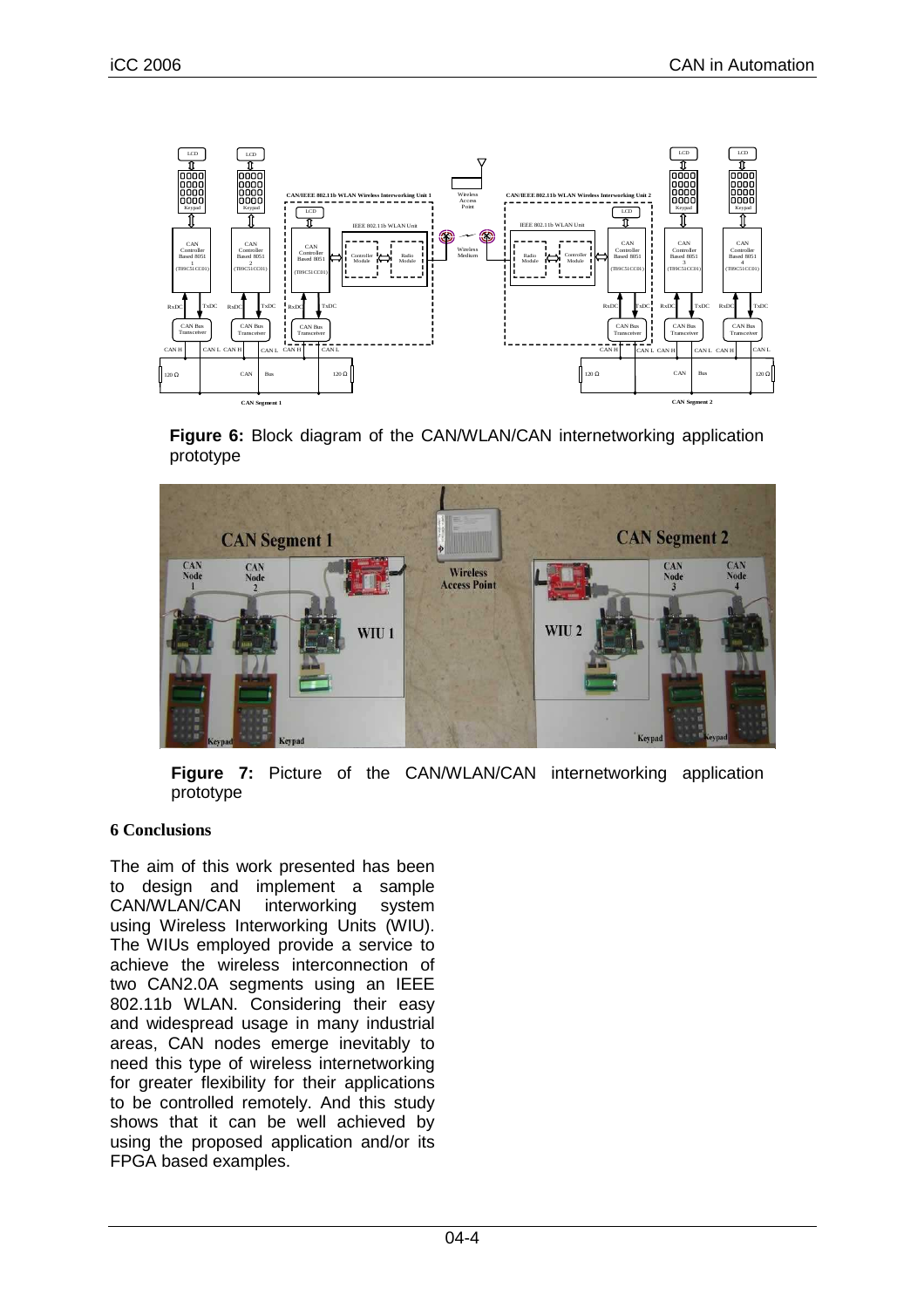

**Figure 6:** Block diagram of the CAN/WLAN/CAN internetworking application prototype



**Figure 7:** Picture of the CAN/WLAN/CAN internetworking application prototype

## **6 Conclusions**

The aim of this work presented has been to design and implement a sample CAN/WLAN/CAN interworking system using Wireless Interworking Units (WIU). The WIUs employed provide a service to achieve the wireless interconnection of two CAN2.0A segments using an IEEE 802.11b WLAN. Considering their easy and widespread usage in many industrial areas, CAN nodes emerge inevitably to need this type of wireless internetworking for greater flexibility for their applications to be controlled remotely. And this study shows that it can be well achieved by using the proposed application and/or its FPGA based examples.